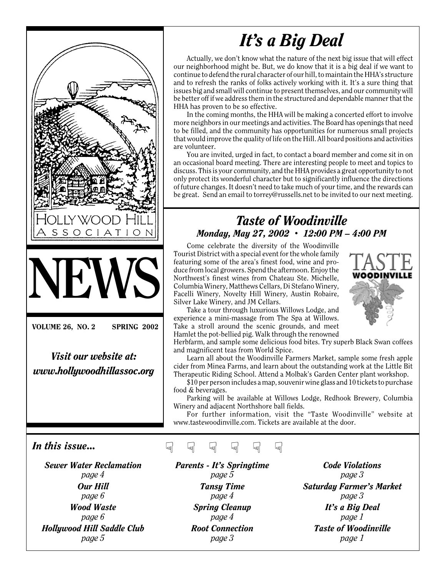

*Visit our website at: www.hollywoodhillassoc.org*

# *It's a Big Deal*

Actually, we don't know what the nature of the next big issue that will effect our neighborhood might be. But, we do know that it is a big deal if we want to continue to defend the rural character of our hill, to maintain the HHA's structure and to refresh the ranks of folks actively working with it. It's a sure thing that issues big and small will continue to present themselves, and our community will be better off if we address them in the structured and dependable manner that the HHA has proven to be so effective.

In the coming months, the HHA will be making a concerted effort to involve more neighbors in our meetings and activities. The Board has openings that need to be filled, and the community has opportunities for numerous small projects that would improve the quality of life on the Hill. All board positions and activities are volunteer.

You are invited, urged in fact, to contact a board member and come sit in on an occasional board meeting. There are interesting people to meet and topics to discuss. This is your community, and the HHA provides a great opportunity to not only protect its wonderful character but to significantly influence the directions of future changes. It doesn't need to take much of your time, and the rewards can be great. Send an email to torrey@russells.net to be invited to our next meeting.

#### *Taste of Woodinville Monday, May 27, 2002 • 12:00 PM – 4:00 PM*

Come celebrate the diversity of the Woodinville Tourist District with a special event for the whole family featuring some of the area's finest food, wine and produce from local growers. Spend the afternoon. Enjoy the Northwest's finest wines from Chateau Ste. Michelle, Columbia Winery, Matthews Cellars, Di Stefano Winery, Facelli Winery, Novelty Hill Winery, Austin Robaire, Silver Lake Winery, and JM Cellars.

Take a tour through luxurious Willows Lodge, and experience a mini-massage from The Spa at Willows. Take a stroll around the scenic grounds, and meet Hamlet the pot-bellied pig. Walk through the renowned

Herbfarm, and sample some delicious food bites. Try superb Black Swan coffees and magnificent teas from World Spice.

Learn all about the Woodinville Farmers Market, sample some fresh apple cider from Minea Farms, and learn about the outstanding work at the Little Bit Therapeutic Riding School. Attend a Molbak's Garden Center plant workshop.

\$10 per person includes a map, souvenir wine glass and 10 tickets to purchase food & beverages.

Parking will be available at Willows Lodge, Redhook Brewery, Columbia Winery and adjacent Northshore ball fields.

For further information, visit the "Taste Woodinville" website at www.tastewoodinville.com. Tickets are available at the door.

#### *In this issue...*

*Sewer Water Reclamation page 4 Our Hill page 6 Wood Waste page 6 Hollywood Hill Saddle Club page 5*

☞ ☞ ☞ ☞ ☞ ☞

*Parents - It's Springtime page 5 Tansy Time page 4 Spring Cleanup page 4 Root Connection page 3*

*Code Violations page 3 Saturday Farmer's Market page 3 It's a Big Deal page 1 Taste of Woodinville page 1*

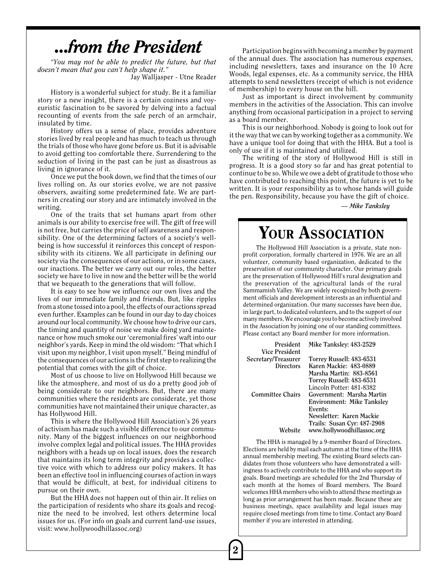### *...from the President*

*"You may not be able to predict the future, but that doesn't mean that you can't help shape it."*

Jay Walljasper - Utne Reader

History is a wonderful subject for study. Be it a familiar story or a new insight, there is a certain coziness and voyeuristic fascination to be savored by delving into a factual recounting of events from the safe perch of an armchair, insulated by time.

History offers us a sense of place, provides adventure stories lived by real people and has much to teach us through the trials of those who have gone before us. But it is advisable to avoid getting too comfortable there. Surrendering to the seduction of living in the past can be just as disastrous as living in ignorance of it.

Once we put the book down, we find that the times of our lives rolling on. As our stories evolve, we are not passive observers, awaiting some predetermined fate. We are partners in creating our story and are intimately involved in the writing.

One of the traits that set humans apart from other animals is our ability to exercise free will. The gift of free will is not free, but carries the price of self awareness and responsibility. One of the determining factors of a society's wellbeing is how successful it reinforces this concept of responsibility with its citizens. We all participate in defining our society via the consequences of our actions, or in some cases, our inactions. The better we carry out our roles, the better society we have to live in now and the better will be the world that we bequeath to the generations that will follow.

It is easy to see how we influence our own lives and the lives of our immediate family and friends. But, like ripples from a stone tossed into a pool, the effects of our actions spread even further. Examples can be found in our day to day choices around our local community. We choose how to drive our cars, the timing and quantity of noise we make doing yard maintenance or how much smoke our 'ceremonial fires' waft into our neighbor's yards. Keep in mind the old wisdom: "That which I visit upon my neighbor, I visit upon myself." Being mindful of the consequences of our actions is the first step to realizing the potential that comes with the gift of choice.

Most of us choose to live on Hollywood Hill because we like the atmosphere, and most of us do a pretty good job of being considerate to our neighbors. But, there are many communities where the residents are considerate, yet those communities have not maintained their unique character, as has Hollywood Hill.

This is where the Hollywood Hill Association's 26 years of activism has made such a visible difference to our community. Many of the biggest influences on our neighborhood involve complex legal and political issues. The HHA provides neighbors with a heads up on local issues, does the research that maintains its long term integrity and provides a collective voice with which to address our policy makers. It has been an effective tool in influencing courses of action in ways that would be difficult, at best, for individual citizens to pursue on their own.

But the HHA does not happen out of thin air. It relies on the participation of residents who share its goals and recognize the need to be involved, lest others determine local issues for us. (For info on goals and current land-use issues, visit: www.hollywoodhillassoc.org)

Participation begins with becoming a member by payment of the annual dues. The association has numerous expenses, including newsletters, taxes and insurance on the 10 Acre Woods, legal expenses, etc. As a community service, the HHA attempts to send newsletters (receipt of which is not evidence of membership) to every house on the hill.

Just as important is direct involvement by community members in the activities of the Association. This can involve anything from occasional participation in a project to serving as a board member.

This is our neighborhood. Nobody is going to look out for it the way that we can by working together as a community. We have a unique tool for doing that with the HHA. But a tool is only of use if it is maintained and utilized.

The writing of the story of Hollywood Hill is still in progress. It is a good story so far and has great potential to continue to be so. While we owe a debt of gratitude to those who have contributed to reaching this point, the future is yet to be written. It is your responsibility as to whose hands will guide the pen. Responsibility, because you have the gift of choice.

*— Mike Tanksley*

### YOUR ASSOCIATION

The Hollywood Hill Association is a private, state nonprofit corporation, formally chartered in 1976. We are an all volunteer, community based organization, dedicated to the preservation of our community character. Our primary goals are the preservation of Hollywood Hill's rural designation and the preservation of the agricultural lands of the rural Sammamish Valley. We are widely recognized by both government officials and development interests as an influential and determined organization. Our many successes have been due, in large part, to dedicated volunteers, and to the support of our many members. We encourage you to become actively involved in the Association by joining one of our standing committees. Please contact any Board member for more information.

| President<br>Vice President | Mike Tanksley: 483-2529     |
|-----------------------------|-----------------------------|
| Secretary/Treasurer         | Torrey Russell: 483-6531    |
| <b>Directors</b>            | Karen Mackie: 483-0889      |
|                             | Marsha Martin: 883-8561     |
|                             | Torrey Russell: 483-6531    |
|                             | Lincoln Potter: 481-8382    |
| <b>Committee Chairs</b>     | Government: Marsha Martin   |
|                             | Environment: Mike Tanksley  |
|                             | Events:                     |
|                             | Newsletter: Karen Mackie    |
|                             | Trails: Susan Cyr: 487-2908 |
| Website                     | www.hollywoodhillassoc.org  |

The HHA is managed by a 9-member Board of Directors. Elections are held by mail each autumn at the time of the HHA annual membership meeting. The existing Board selects candidates from those volunteers who have demonstrated a willingness to actively contribute to the HHA and who support its goals. Board meetings are scheduled for the 2nd Thursday of each month at the homes of Board members. The Board welcomes HHA members who wish to attend these meetings as long as prior arrangement has been made. Because these are business meetings, space availability and legal issues may require closed meetings from time to time. Contact any Board member if you are interested in attending.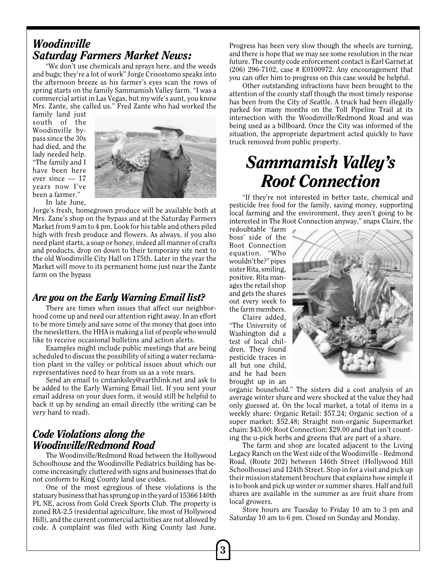#### *Woodinville Saturday Farmers Market News:*

"We don't use chemicals and sprays here, and the weeds and bugs; they're a lot of work" Jorge Crisostomo speaks into the afternoon breeze as his farmer's eyes scan the rows of spring starts on the family Sammamish Valley farm. "I was a commercial artist in Las Vegas, but my wife's aunt, you know Mrs. Zante, she called us." Fred Zante who had worked the

family land just south of the Woodinville bypass since the 30s had died, and the lady needed help. "The family and I have been here ever since — 17 years now I've been a farmer." In late June,



Jorge's fresh, homegrown produce will be available both at Mrs. Zane's shop on the bypass and at the Saturday Farmers Market from 9 am to 4 pm. Look for his table and others piled high with fresh produce and flowers. As always, if you also need plant starts, a soap or honey, indeed all manner of crafts

and products, drop on down to their temporary site next to the old Woodinville City Hall on 175th. Later in the year the Market will move to its permanent home just near the Zante farm on the bypass

#### *Are you on the Early Warning Email list?*

There are times when issues that affect our neighborhood come up and need our attention right away. In an effort to be more timely and save some of the money that goes into the newsletters, the HHA is making a list of people who would like to receive occasional bulletins and action alerts.

Examples might include public meetings that are being scheduled to discuss the possibility of siting a water reclamation plant in the valley or political issues about which our representatives need to hear from us as a vote nears.

Send an email to cmtanksley@earthlink.net and ask to be added to the Early Warning Email list. If you sent your email address on your dues form, it would still be helpful to back it up by sending an email directly (the writing can be very hard to read).

#### *Code Violations along the Woodinville/Redmond Road*

The Woodinville/Redmond Road between the Hollywood Schoolhouse and the Woodinville Pediatrics building has become increasingly cluttered with signs and businesses that do not conform to King County land use codes.

One of the most egregious of these violations is the statuary business that has sprung up in the yard of 15366 140th PL NE, across from Gold Creek Sports Club. The property is zoned RA-2.5 (residential agriculture, like most of Hollywood Hill), and the current commercial activities are not allowed by code. A complaint was filed with King County last June. Progress has been very slow though the wheels are turning, and there is hope that we may see some resolution in the near future. The county code enforcement contact is Earl Garnet at (206) 296-7102, case # E0100972. Any encouragement that you can offer him to progress on this case would be helpful.

Other outstanding infractions have been brought to the attention of the county staff though the most timely response has been from the City of Seattle. A truck had been illegally parked for many months on the Tolt Pipeline Trail at its intersection with the Woodinville/Redmond Road and was being used as a billboard. Once the City was informed of the situation, the appropriate department acted quickly to have truck removed from public property.

## *Sammamish Valley's Root Connection*

"If they're not interested in better taste, chemical and pesticide free food for the family, saving money, supporting local farming and the environment, they aren't going to be interested in The Root Connection anyway," snaps Claire, the

redoubtable 'farm boss' side of the Root Connection equation. "Who wouldn't be?" pipes sister Rita, smiling, positive. Rita manages the retail shop and gets the shares out every week to the farm members.

Claire added, "The University of Washington did a test of local children. They found pesticide traces in all but one child, and he had been brought up in an



organic household." The sisters did a cost analysis of an average winter share and were shocked at the value they had only guessed at. On the local market, a total of items in a weekly share: Organic Retail: \$57.24; Organic section of a super market: \$52.48; Straight non-organic Supermarket chain: \$43.00; Root Connection: \$29.00 and that isn't counting the u-pick herbs and greens that are part of a share.

The farm and shop are located adjacent to the Living Legacy Ranch on the West side of the Woodinville - Redmond Road, (Route 202) between 146th Street (Hollywood Hill Schoolhouse) and 124th Street. Stop in for a visit and pick up their mission statement brochure that explains how simple it is to book and pick up winter or summer shares. Half and full shares are available in the summer as are fruit share from local growers.

Store hours are Tuesday to Friday 10 am to 3 pm and Saturday 10 am to 6 pm. Closed on Sunday and Monday.